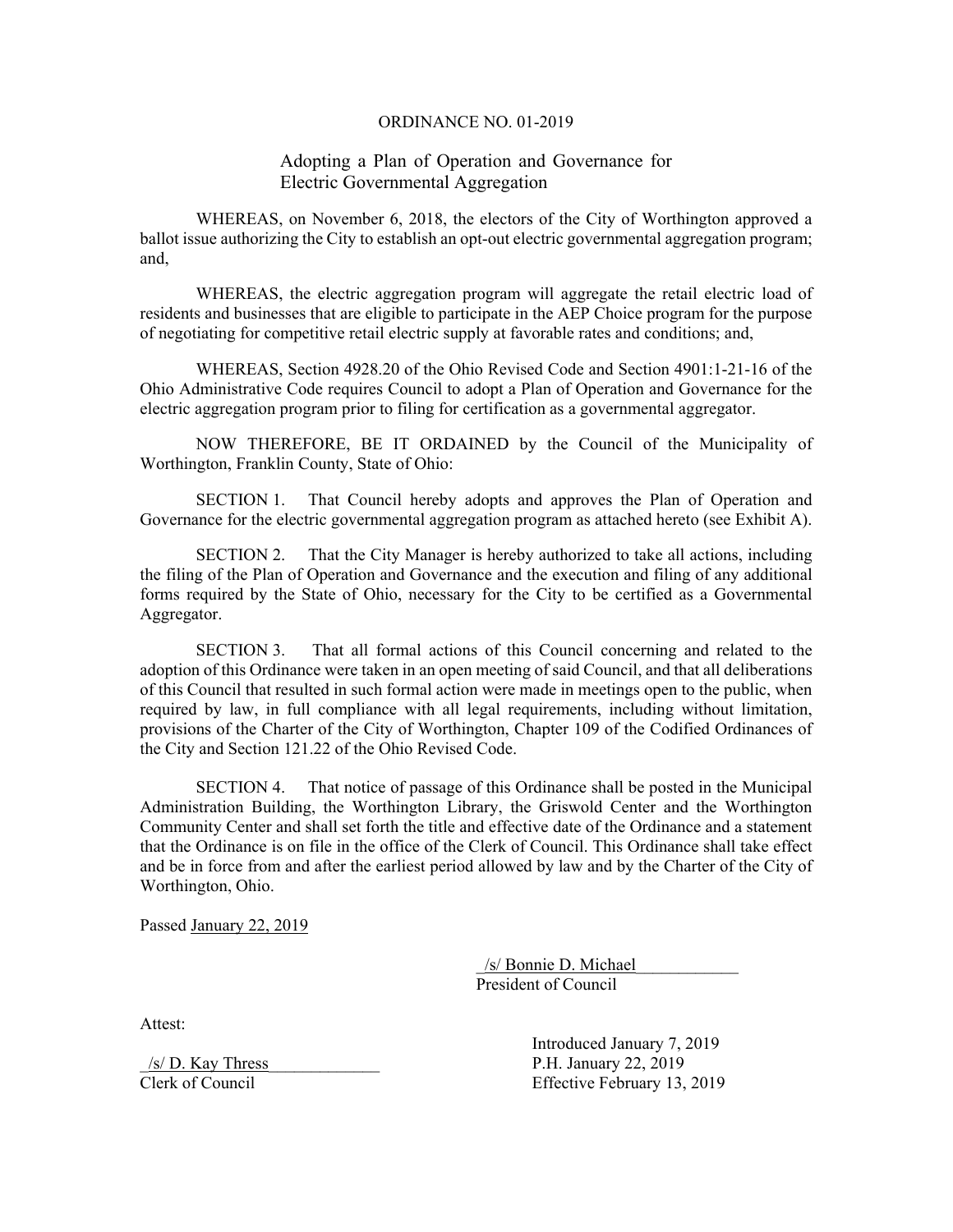#### ORDINANCE NO. 01-2019

# Adopting a Plan of Operation and Governance for Electric Governmental Aggregation

WHEREAS, on November 6, 2018, the electors of the City of Worthington approved a ballot issue authorizing the City to establish an opt-out electric governmental aggregation program; and,

WHEREAS, the electric aggregation program will aggregate the retail electric load of residents and businesses that are eligible to participate in the AEP Choice program for the purpose of negotiating for competitive retail electric supply at favorable rates and conditions; and,

WHEREAS, Section 4928.20 of the Ohio Revised Code and Section 4901:1-21-16 of the Ohio Administrative Code requires Council to adopt a Plan of Operation and Governance for the electric aggregation program prior to filing for certification as a governmental aggregator.

NOW THEREFORE, BE IT ORDAINED by the Council of the Municipality of Worthington, Franklin County, State of Ohio:

SECTION 1. That Council hereby adopts and approves the Plan of Operation and Governance for the electric governmental aggregation program as attached hereto (see Exhibit A).

SECTION 2. That the City Manager is hereby authorized to take all actions, including the filing of the Plan of Operation and Governance and the execution and filing of any additional forms required by the State of Ohio, necessary for the City to be certified as a Governmental Aggregator.

SECTION 3. That all formal actions of this Council concerning and related to the adoption of this Ordinance were taken in an open meeting of said Council, and that all deliberations of this Council that resulted in such formal action were made in meetings open to the public, when required by law, in full compliance with all legal requirements, including without limitation, provisions of the Charter of the City of Worthington, Chapter 109 of the Codified Ordinances of the City and Section 121.22 of the Ohio Revised Code.

SECTION 4. That notice of passage of this Ordinance shall be posted in the Municipal Administration Building, the Worthington Library, the Griswold Center and the Worthington Community Center and shall set forth the title and effective date of the Ordinance and a statement that the Ordinance is on file in the office of the Clerk of Council. This Ordinance shall take effect and be in force from and after the earliest period allowed by law and by the Charter of the City of Worthington, Ohio.

Passed January 22, 2019

 \_/s/ Bonnie D. Michael\_\_\_\_\_\_\_\_\_\_\_\_ President of Council

Attest:

 Introduced January 7, 2019  $\frac{|s|}{D}$ . Kay Thress P.H. January 22, 2019 Clerk of Council Effective February 13, 2019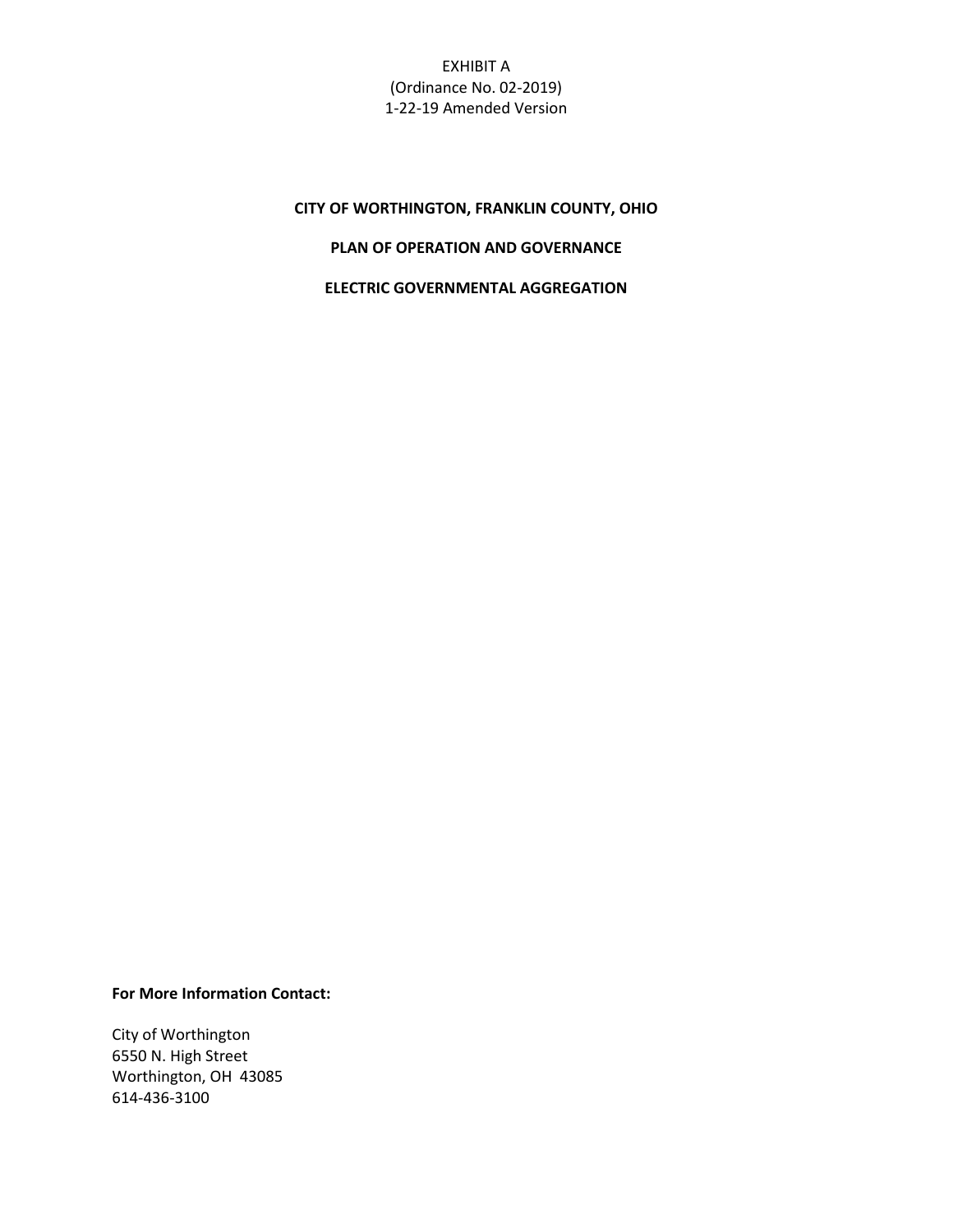EXHIBIT A (Ordinance No. 02-2019) 1-22-19 Amended Version

# **CITY OF WORTHINGTON, FRANKLIN COUNTY, OHIO**

# **PLAN OF OPERATION AND GOVERNANCE**

### **ELECTRIC GOVERNMENTAL AGGREGATION**

**For More Information Contact:**

City of Worthington 6550 N. High Street Worthington, OH 43085 614-436-3100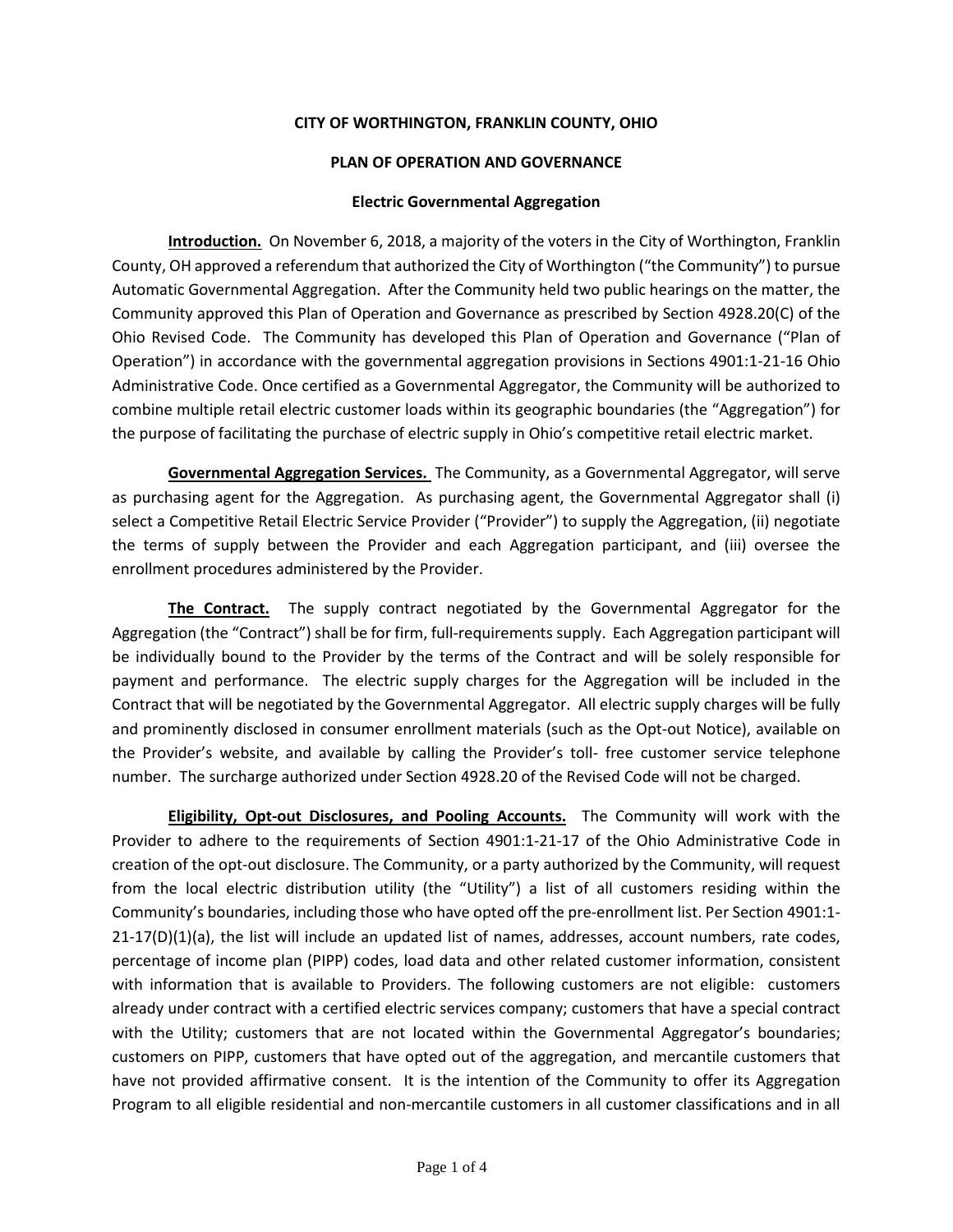### **CITY OF WORTHINGTON, FRANKLIN COUNTY, OHIO**

### **PLAN OF OPERATION AND GOVERNANCE**

### **Electric Governmental Aggregation**

**Introduction.** On November 6, 2018, a majority of the voters in the City of Worthington, Franklin County, OH approved a referendum that authorized the City of Worthington ("the Community") to pursue Automatic Governmental Aggregation. After the Community held two public hearings on the matter, the Community approved this Plan of Operation and Governance as prescribed by Section 4928.20(C) of the Ohio Revised Code. The Community has developed this Plan of Operation and Governance ("Plan of Operation") in accordance with the governmental aggregation provisions in Sections 4901:1-21-16 Ohio Administrative Code. Once certified as a Governmental Aggregator, the Community will be authorized to combine multiple retail electric customer loads within its geographic boundaries (the "Aggregation") for the purpose of facilitating the purchase of electric supply in Ohio's competitive retail electric market.

**Governmental Aggregation Services.** The Community, as a Governmental Aggregator, will serve as purchasing agent for the Aggregation. As purchasing agent, the Governmental Aggregator shall (i) select a Competitive Retail Electric Service Provider ("Provider") to supply the Aggregation, (ii) negotiate the terms of supply between the Provider and each Aggregation participant, and (iii) oversee the enrollment procedures administered by the Provider.

**The Contract.** The supply contract negotiated by the Governmental Aggregator for the Aggregation (the "Contract") shall be for firm, full-requirements supply. Each Aggregation participant will be individually bound to the Provider by the terms of the Contract and will be solely responsible for payment and performance. The electric supply charges for the Aggregation will be included in the Contract that will be negotiated by the Governmental Aggregator. All electric supply charges will be fully and prominently disclosed in consumer enrollment materials (such as the Opt-out Notice), available on the Provider's website, and available by calling the Provider's toll- free customer service telephone number. The surcharge authorized under Section 4928.20 of the Revised Code will not be charged.

**Eligibility, Opt-out Disclosures, and Pooling Accounts.** The Community will work with the Provider to adhere to the requirements of Section 4901:1-21-17 of the Ohio Administrative Code in creation of the opt-out disclosure. The Community, or a party authorized by the Community, will request from the local electric distribution utility (the "Utility") a list of all customers residing within the Community's boundaries, including those who have opted off the pre-enrollment list. Per Section 4901:1-  $21-17(D)(1)(a)$ , the list will include an updated list of names, addresses, account numbers, rate codes, percentage of income plan (PIPP) codes, load data and other related customer information, consistent with information that is available to Providers. The following customers are not eligible: customers already under contract with a certified electric services company; customers that have a special contract with the Utility; customers that are not located within the Governmental Aggregator's boundaries; customers on PIPP, customers that have opted out of the aggregation, and mercantile customers that have not provided affirmative consent. It is the intention of the Community to offer its Aggregation Program to all eligible residential and non-mercantile customers in all customer classifications and in all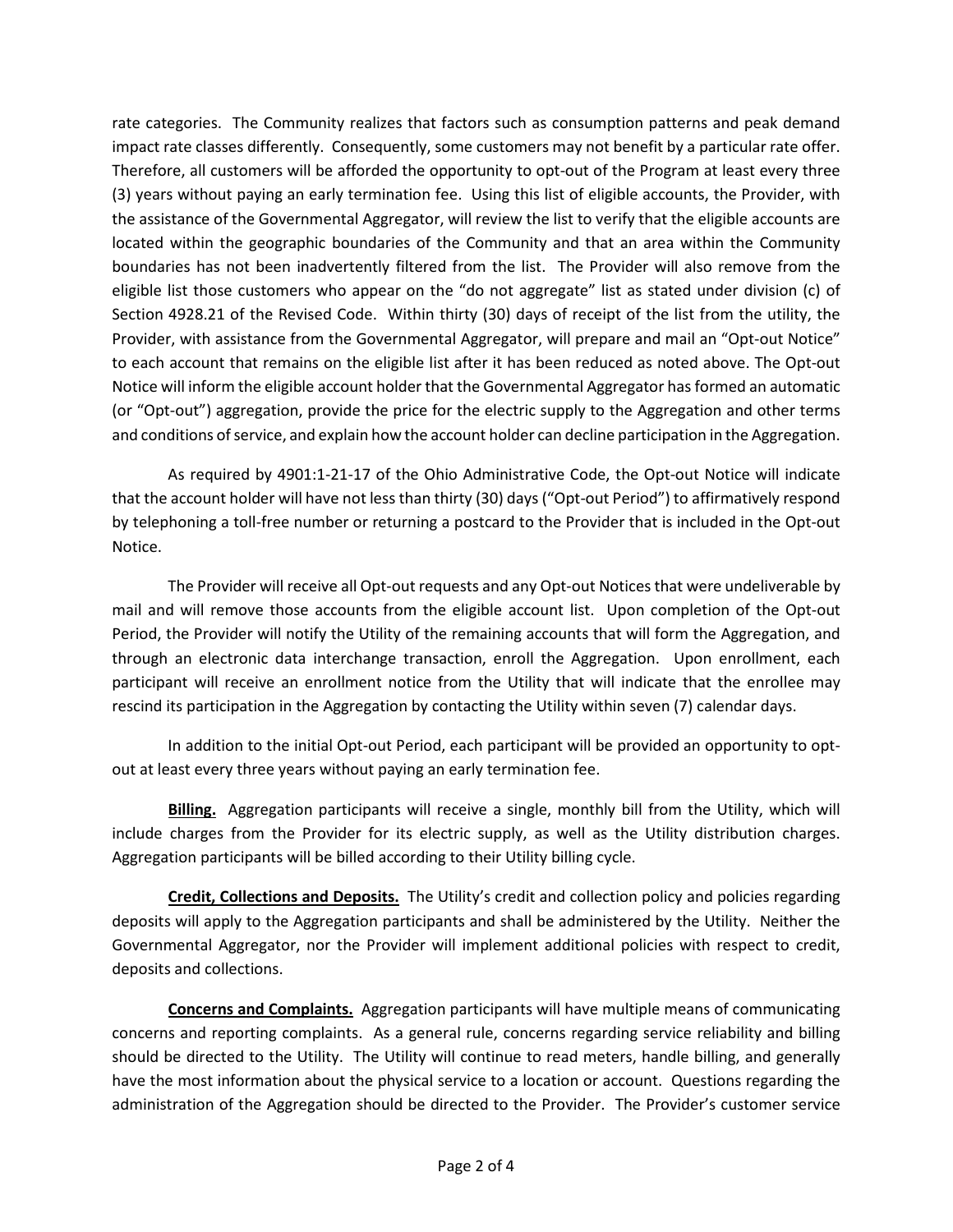rate categories. The Community realizes that factors such as consumption patterns and peak demand impact rate classes differently. Consequently, some customers may not benefit by a particular rate offer. Therefore, all customers will be afforded the opportunity to opt-out of the Program at least every three (3) years without paying an early termination fee. Using this list of eligible accounts, the Provider, with the assistance of the Governmental Aggregator, will review the list to verify that the eligible accounts are located within the geographic boundaries of the Community and that an area within the Community boundaries has not been inadvertently filtered from the list. The Provider will also remove from the eligible list those customers who appear on the "do not aggregate" list as stated under division (c) of Section 4928.21 of the Revised Code. Within thirty (30) days of receipt of the list from the utility, the Provider, with assistance from the Governmental Aggregator, will prepare and mail an "Opt-out Notice" to each account that remains on the eligible list after it has been reduced as noted above. The Opt-out Notice will inform the eligible account holder that the Governmental Aggregator has formed an automatic (or "Opt-out") aggregation, provide the price for the electric supply to the Aggregation and other terms and conditions of service, and explain how the account holder can decline participation in the Aggregation.

As required by 4901:1-21-17 of the Ohio Administrative Code, the Opt-out Notice will indicate that the account holder will have not less than thirty (30) days ("Opt-out Period") to affirmatively respond by telephoning a toll-free number or returning a postcard to the Provider that is included in the Opt-out Notice.

The Provider will receive all Opt-out requests and any Opt-out Notices that were undeliverable by mail and will remove those accounts from the eligible account list. Upon completion of the Opt-out Period, the Provider will notify the Utility of the remaining accounts that will form the Aggregation, and through an electronic data interchange transaction, enroll the Aggregation. Upon enrollment, each participant will receive an enrollment notice from the Utility that will indicate that the enrollee may rescind its participation in the Aggregation by contacting the Utility within seven (7) calendar days.

In addition to the initial Opt-out Period, each participant will be provided an opportunity to optout at least every three years without paying an early termination fee.

**Billing.** Aggregation participants will receive a single, monthly bill from the Utility, which will include charges from the Provider for its electric supply, as well as the Utility distribution charges. Aggregation participants will be billed according to their Utility billing cycle.

**Credit, Collections and Deposits.** The Utility's credit and collection policy and policies regarding deposits will apply to the Aggregation participants and shall be administered by the Utility. Neither the Governmental Aggregator, nor the Provider will implement additional policies with respect to credit, deposits and collections.

**Concerns and Complaints.** Aggregation participants will have multiple means of communicating concerns and reporting complaints. As a general rule, concerns regarding service reliability and billing should be directed to the Utility. The Utility will continue to read meters, handle billing, and generally have the most information about the physical service to a location or account. Questions regarding the administration of the Aggregation should be directed to the Provider. The Provider's customer service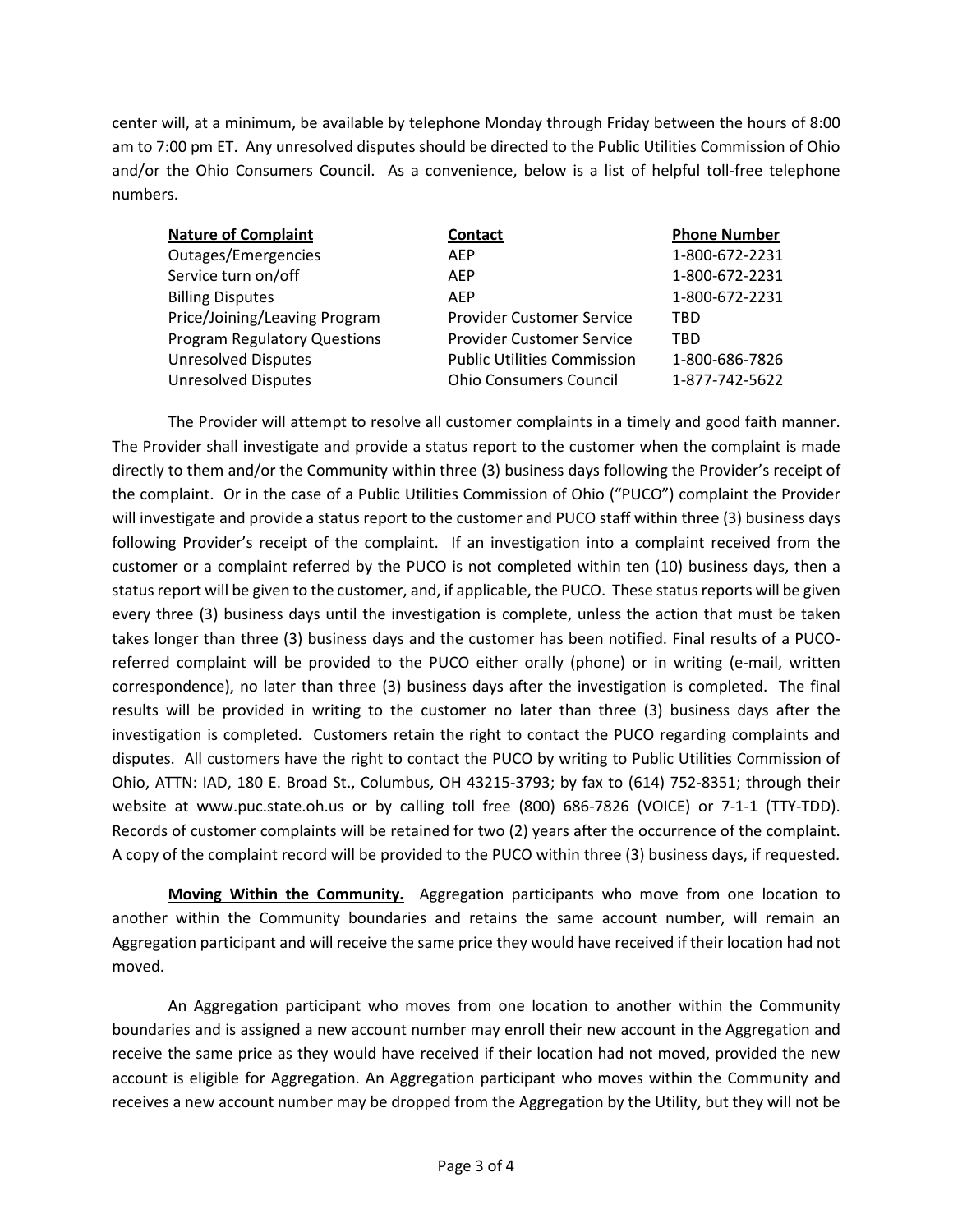center will, at a minimum, be available by telephone Monday through Friday between the hours of 8:00 am to 7:00 pm ET. Any unresolved disputes should be directed to the Public Utilities Commission of Ohio and/or the Ohio Consumers Council. As a convenience, below is a list of helpful toll-free telephone numbers.

| <b>Nature of Complaint</b>          | <b>Contact</b>                     | <b>Phone Number</b> |
|-------------------------------------|------------------------------------|---------------------|
| Outages/Emergencies                 | <b>AFP</b>                         | 1-800-672-2231      |
| Service turn on/off                 | <b>AFP</b>                         | 1-800-672-2231      |
| <b>Billing Disputes</b>             | <b>AFP</b>                         | 1-800-672-2231      |
| Price/Joining/Leaving Program       | <b>Provider Customer Service</b>   | TBD                 |
| <b>Program Regulatory Questions</b> | <b>Provider Customer Service</b>   | TBD                 |
| <b>Unresolved Disputes</b>          | <b>Public Utilities Commission</b> | 1-800-686-7826      |
| <b>Unresolved Disputes</b>          | <b>Ohio Consumers Council</b>      | 1-877-742-5622      |

The Provider will attempt to resolve all customer complaints in a timely and good faith manner. The Provider shall investigate and provide a status report to the customer when the complaint is made directly to them and/or the Community within three (3) business days following the Provider's receipt of the complaint. Or in the case of a Public Utilities Commission of Ohio ("PUCO") complaint the Provider will investigate and provide a status report to the customer and PUCO staff within three (3) business days following Provider's receipt of the complaint. If an investigation into a complaint received from the customer or a complaint referred by the PUCO is not completed within ten (10) business days, then a status report will be given to the customer, and, if applicable, the PUCO. These status reports will be given every three (3) business days until the investigation is complete, unless the action that must be taken takes longer than three (3) business days and the customer has been notified. Final results of a PUCOreferred complaint will be provided to the PUCO either orally (phone) or in writing (e-mail, written correspondence), no later than three (3) business days after the investigation is completed. The final results will be provided in writing to the customer no later than three (3) business days after the investigation is completed. Customers retain the right to contact the PUCO regarding complaints and disputes. All customers have the right to contact the PUCO by writing to Public Utilities Commission of Ohio, ATTN: IAD, 180 E. Broad St., Columbus, OH 43215-3793; by fax to (614) 752-8351; through their website at www.puc.state.oh.us or by calling toll free (800) 686-7826 (VOICE) or 7-1-1 (TTY-TDD). Records of customer complaints will be retained for two (2) years after the occurrence of the complaint. A copy of the complaint record will be provided to the PUCO within three (3) business days, if requested.

**Moving Within the Community.** Aggregation participants who move from one location to another within the Community boundaries and retains the same account number, will remain an Aggregation participant and will receive the same price they would have received if their location had not moved.

An Aggregation participant who moves from one location to another within the Community boundaries and is assigned a new account number may enroll their new account in the Aggregation and receive the same price as they would have received if their location had not moved, provided the new account is eligible for Aggregation. An Aggregation participant who moves within the Community and receives a new account number may be dropped from the Aggregation by the Utility, but they will not be